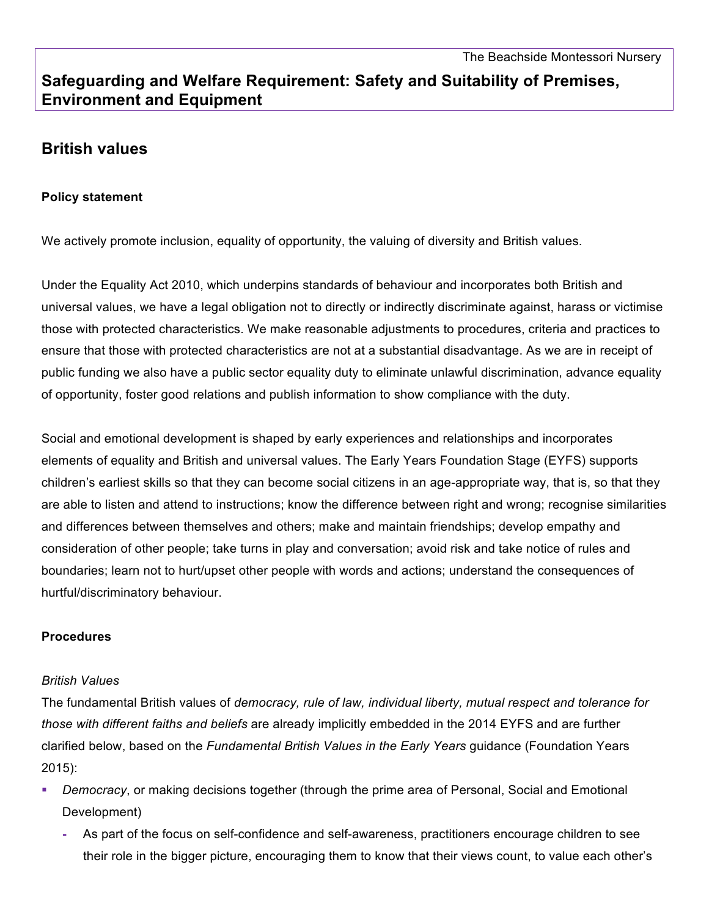# **Safeguarding and Welfare Requirement: Safety and Suitability of Premises, Environment and Equipment**

## **British values**

#### **Policy statement**

We actively promote inclusion, equality of opportunity, the valuing of diversity and British values.

Under the Equality Act 2010, which underpins standards of behaviour and incorporates both British and universal values, we have a legal obligation not to directly or indirectly discriminate against, harass or victimise those with protected characteristics. We make reasonable adjustments to procedures, criteria and practices to ensure that those with protected characteristics are not at a substantial disadvantage. As we are in receipt of public funding we also have a public sector equality duty to eliminate unlawful discrimination, advance equality of opportunity, foster good relations and publish information to show compliance with the duty.

Social and emotional development is shaped by early experiences and relationships and incorporates elements of equality and British and universal values. The Early Years Foundation Stage (EYFS) supports children's earliest skills so that they can become social citizens in an age-appropriate way, that is, so that they are able to listen and attend to instructions; know the difference between right and wrong; recognise similarities and differences between themselves and others; make and maintain friendships; develop empathy and consideration of other people; take turns in play and conversation; avoid risk and take notice of rules and boundaries; learn not to hurt/upset other people with words and actions; understand the consequences of hurtful/discriminatory behaviour.

#### **Procedures**

#### *British Values*

The fundamental British values of *democracy, rule of law, individual liberty, mutual respect and tolerance for those with different faiths and beliefs* are already implicitly embedded in the 2014 EYFS and are further clarified below, based on the *Fundamental British Values in the Early Years* guidance (Foundation Years 2015):

- § *Democracy*, or making decisions together (through the prime area of Personal, Social and Emotional Development)
	- **-** As part of the focus on self-confidence and self-awareness, practitioners encourage children to see their role in the bigger picture, encouraging them to know that their views count, to value each other's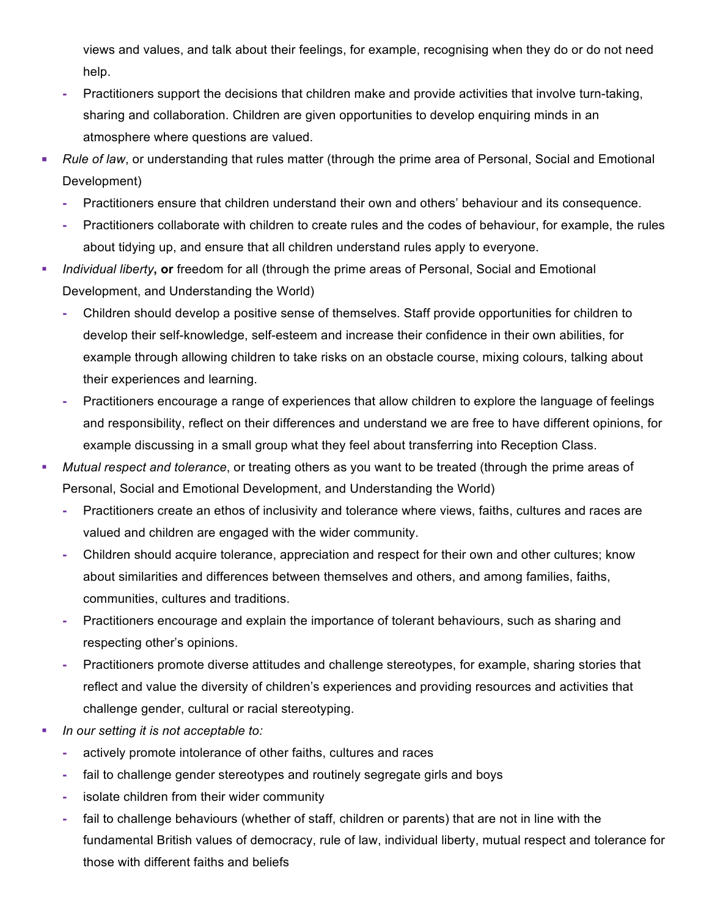views and values, and talk about their feelings, for example, recognising when they do or do not need help.

- **-** Practitioners support the decisions that children make and provide activities that involve turn-taking, sharing and collaboration. Children are given opportunities to develop enquiring minds in an atmosphere where questions are valued.
- *Rule of law*, or understanding that rules matter (through the prime area of Personal, Social and Emotional Development)
	- **-** Practitioners ensure that children understand their own and others' behaviour and its consequence.
	- **-** Practitioners collaborate with children to create rules and the codes of behaviour, for example, the rules about tidying up, and ensure that all children understand rules apply to everyone.
- § *Individual liberty***, or** freedom for all (through the prime areas of Personal, Social and Emotional Development, and Understanding the World)
	- **-** Children should develop a positive sense of themselves. Staff provide opportunities for children to develop their self-knowledge, self-esteem and increase their confidence in their own abilities, for example through allowing children to take risks on an obstacle course, mixing colours, talking about their experiences and learning.
	- **-** Practitioners encourage a range of experiences that allow children to explore the language of feelings and responsibility, reflect on their differences and understand we are free to have different opinions, for example discussing in a small group what they feel about transferring into Reception Class.
- § *Mutual respect and tolerance*, or treating others as you want to be treated (through the prime areas of Personal, Social and Emotional Development, and Understanding the World)
	- **-** Practitioners create an ethos of inclusivity and tolerance where views, faiths, cultures and races are valued and children are engaged with the wider community.
	- **-** Children should acquire tolerance, appreciation and respect for their own and other cultures; know about similarities and differences between themselves and others, and among families, faiths, communities, cultures and traditions.
	- **-** Practitioners encourage and explain the importance of tolerant behaviours, such as sharing and respecting other's opinions.
	- **-** Practitioners promote diverse attitudes and challenge stereotypes, for example, sharing stories that reflect and value the diversity of children's experiences and providing resources and activities that challenge gender, cultural or racial stereotyping.
- § *In our setting it is not acceptable to:*
	- **-** actively promote intolerance of other faiths, cultures and races
	- **-** fail to challenge gender stereotypes and routinely segregate girls and boys
	- **-** isolate children from their wider community
	- **-** fail to challenge behaviours (whether of staff, children or parents) that are not in line with the fundamental British values of democracy, rule of law, individual liberty, mutual respect and tolerance for those with different faiths and beliefs